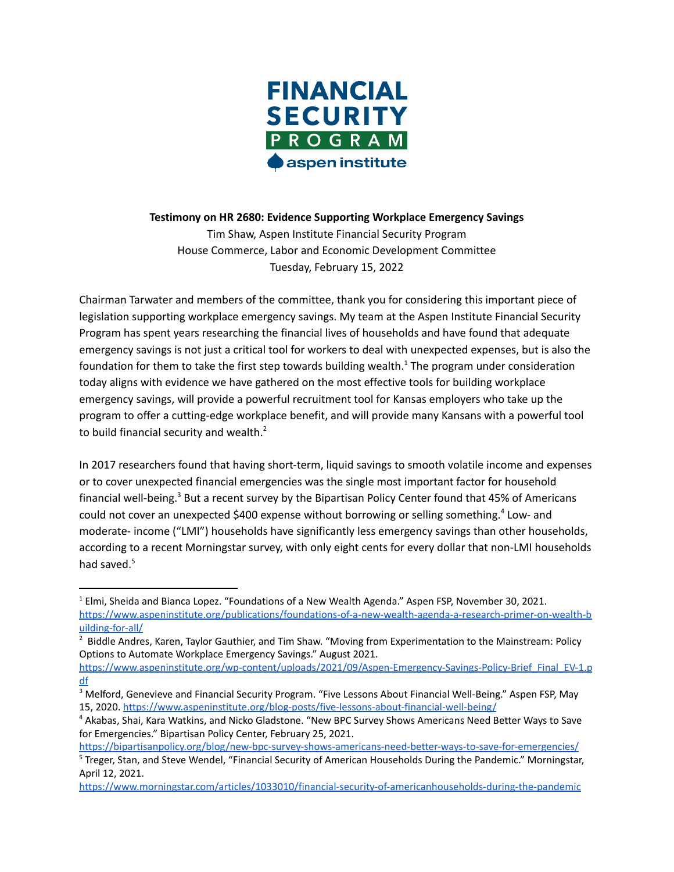

**Testimony on HR 2680: Evidence Supporting Workplace Emergency Savings**

Tim Shaw, Aspen Institute Financial Security Program House Commerce, Labor and Economic Development Committee Tuesday, February 15, 2022

Chairman Tarwater and members of the committee, thank you for considering this important piece of legislation supporting workplace emergency savings. My team at the Aspen Institute Financial Security Program has spent years researching the financial lives of households and have found that adequate emergency savings is not just a critical tool for workers to deal with unexpected expenses, but is also the foundation for them to take the first step towards building wealth.<sup>1</sup> The program under consideration today aligns with evidence we have gathered on the most effective tools for building workplace emergency savings, will provide a powerful recruitment tool for Kansas employers who take up the program to offer a cutting-edge workplace benefit, and will provide many Kansans with a powerful tool to build financial security and wealth. $^2$ 

In 2017 researchers found that having short-term, liquid savings to smooth volatile income and expenses or to cover unexpected financial emergencies was the single most important factor for household financial well-being.<sup>3</sup> But a recent survey by the Bipartisan Policy Center found that 45% of Americans could not cover an unexpected \$400 expense without borrowing or selling something.<sup>4</sup> Low- and moderate- income ("LMI") households have significantly less emergency savings than other households, according to a recent Morningstar survey, with only eight cents for every dollar that non-LMI households had saved.<sup>5</sup>

<sup>&</sup>lt;sup>1</sup> Elmi, Sheida and Bianca Lopez. "Foundations of a New Wealth Agenda." Aspen FSP, November 30, 2021. [https://www.aspeninstitute.org/publications/foundations-of-a-new-wealth-agenda-a-research-primer-on-wealth-b](https://www.aspeninstitute.org/publications/foundations-of-a-new-wealth-agenda-a-research-primer-on-wealth-building-for-all/) [uilding-for-all/](https://www.aspeninstitute.org/publications/foundations-of-a-new-wealth-agenda-a-research-primer-on-wealth-building-for-all/)

<sup>&</sup>lt;sup>2</sup> Biddle Andres, Karen, Taylor Gauthier, and Tim Shaw. "Moving from Experimentation to the Mainstream: Policy Options to Automate Workplace Emergency Savings." August 2021.

[https://www.aspeninstitute.org/wp-content/uploads/2021/09/Aspen-Emergency-Savings-Policy-Brief\\_Final\\_EV-1.p](https://www.aspeninstitute.org/wp-content/uploads/2021/09/Aspen-Emergency-Savings-Policy-Brief_Final_EV-1.pdf) [df](https://www.aspeninstitute.org/wp-content/uploads/2021/09/Aspen-Emergency-Savings-Policy-Brief_Final_EV-1.pdf)

<sup>3</sup> Melford, Genevieve and Financial Security Program. "Five Lessons About Financial Well-Being." Aspen FSP, May 15, 2020. <https://www.aspeninstitute.org/blog-posts/five-lessons-about-financial-well-being/>

<sup>4</sup> Akabas, Shai, Kara Watkins, and Nicko Gladstone. "New BPC Survey Shows Americans Need Better Ways to Save for Emergencies." Bipartisan Policy Center, February 25, 2021.

<sup>5</sup> Treger, Stan, and Steve Wendel, "Financial Security of American Households During the Pandemic." Morningstar, April 12, 2021. <https://bipartisanpolicy.org/blog/new-bpc-survey-shows-americans-need-better-ways-to-save-for-emergencies/>

<https://www.morningstar.com/articles/1033010/financial-security-of-americanhouseholds-during-the-pandemic>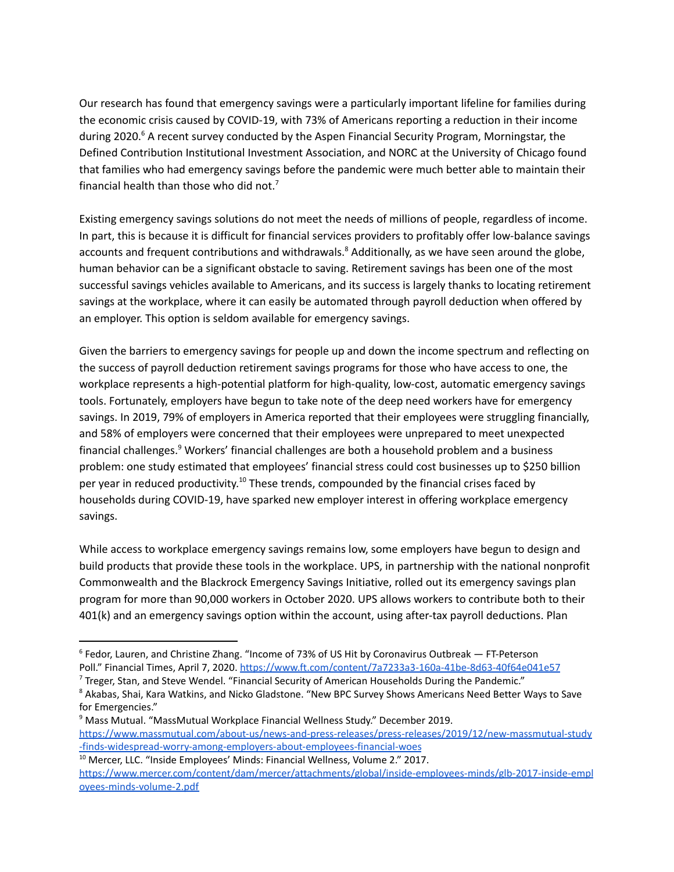Our research has found that emergency savings were a particularly important lifeline for families during the economic crisis caused by COVID-19, with 73% of Americans reporting a reduction in their income during 2020.<sup>6</sup> A recent survey conducted by the Aspen Financial Security Program, Morningstar, the Defined Contribution Institutional Investment Association, and NORC at the University of Chicago found that families who had emergency savings before the pandemic were much better able to maintain their financial health than those who did not.<sup>7</sup>

Existing emergency savings solutions do not meet the needs of millions of people, regardless of income. In part, this is because it is difficult for financial services providers to profitably offer low-balance savings accounts and frequent contributions and withdrawals.<sup>8</sup> Additionally, as we have seen around the globe, human behavior can be a significant obstacle to saving. Retirement savings has been one of the most successful savings vehicles available to Americans, and its success is largely thanks to locating retirement savings at the workplace, where it can easily be automated through payroll deduction when offered by an employer. This option is seldom available for emergency savings.

Given the barriers to emergency savings for people up and down the income spectrum and reflecting on the success of payroll deduction retirement savings programs for those who have access to one, the workplace represents a high-potential platform for high-quality, low-cost, automatic emergency savings tools. Fortunately, employers have begun to take note of the deep need workers have for emergency savings. In 2019, 79% of employers in America reported that their employees were struggling financially, and 58% of employers were concerned that their employees were unprepared to meet unexpected financial challenges.<sup>9</sup> Workers' financial challenges are both a household problem and a business problem: one study estimated that employees' financial stress could cost businesses up to \$250 billion per year in reduced productivity.<sup>10</sup> These trends, compounded by the financial crises faced by households during COVID-19, have sparked new employer interest in offering workplace emergency savings.

While access to workplace emergency savings remains low, some employers have begun to design and build products that provide these tools in the workplace. UPS, in partnership with the national nonprofit Commonwealth and the Blackrock Emergency Savings Initiative, rolled out its emergency savings plan program for more than 90,000 workers in October 2020. UPS allows workers to contribute both to their 401(k) and an emergency savings option within the account, using after-tax payroll deductions. Plan

<sup>6</sup> Fedor, Lauren, and Christine Zhang. "Income of 73% of US Hit by Coronavirus Outbreak — FT-Peterson Poll." Financial Times, April 7, 2020. <https://www.ft.com/content/7a7233a3-160a-41be-8d63-40f64e041e57>

<sup>7</sup> Treger, Stan, and Steve Wendel. "Financial Security of American Households During the Pandemic."

<sup>&</sup>lt;sup>8</sup> Akabas, Shai, Kara Watkins, and Nicko Gladstone. "New BPC Survey Shows Americans Need Better Ways to Save for Emergencies."

<sup>9</sup> Mass Mutual. "MassMutual Workplace Financial Wellness Study." December 2019. [https://www.massmutual.com/about-us/news-and-press-releases/press-releases/2019/12/new-massmutual-study](https://www.massmutual.com/about-us/news-and-press-releases/press-releases/2019/12/new-massmutual-study-finds-widespread-worry-among-employers-about-employees-financial-woes) [-finds-widespread-worry-among-employers-about-employees-financial-woes](https://www.massmutual.com/about-us/news-and-press-releases/press-releases/2019/12/new-massmutual-study-finds-widespread-worry-among-employers-about-employees-financial-woes)

<sup>&</sup>lt;sup>10</sup> Mercer, LLC. "Inside Employees' Minds: Financial Wellness, Volume 2." 2017. [https://www.mercer.com/content/dam/mercer/attachments/global/inside-employees-minds/glb-2017-inside-empl](https://www.mercer.com/content/dam/mercer/attachments/global/inside-employees-minds/glb-2017-inside-employees-minds-volume-2.pdf) [oyees-minds-volume-2.pdf](https://www.mercer.com/content/dam/mercer/attachments/global/inside-employees-minds/glb-2017-inside-employees-minds-volume-2.pdf)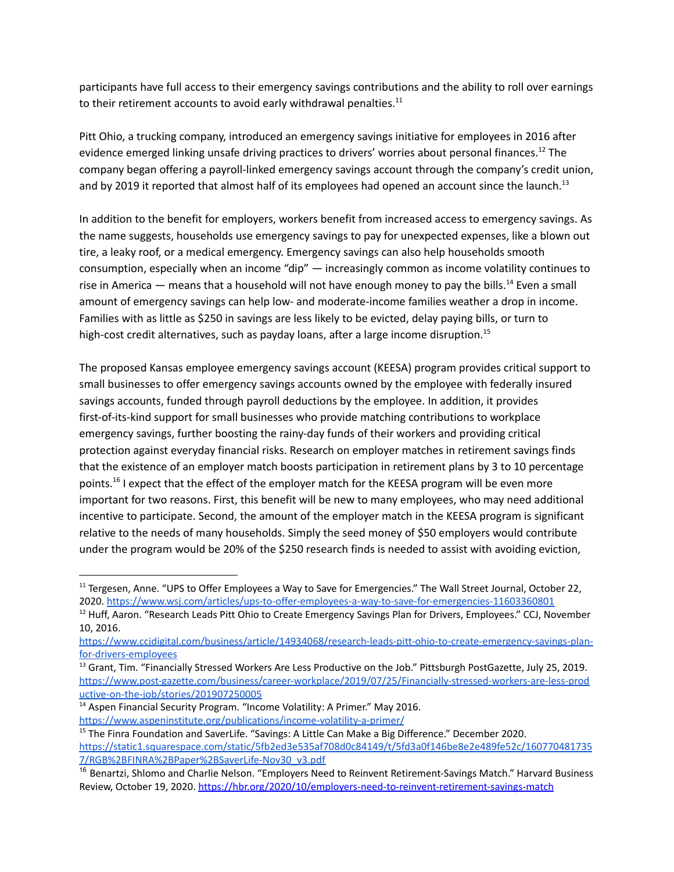participants have full access to their emergency savings contributions and the ability to roll over earnings to their retirement accounts to avoid early withdrawal penalties. $^{11}$ 

Pitt Ohio, a trucking company, introduced an emergency savings initiative for employees in 2016 after evidence emerged linking unsafe driving practices to drivers' worries about personal finances.<sup>12</sup> The company began offering a payroll-linked emergency savings account through the company's credit union, and by 2019 it reported that almost half of its employees had opened an account since the launch.<sup>13</sup>

In addition to the benefit for employers, workers benefit from increased access to emergency savings. As the name suggests, households use emergency savings to pay for unexpected expenses, like a blown out tire, a leaky roof, or a medical emergency. Emergency savings can also help households smooth consumption, especially when an income "dip" — increasingly common as income volatility continues to rise in America  $-$  means that a household will not have enough money to pay the bills.<sup>14</sup> Even a small amount of emergency savings can help low- and moderate-income families weather a drop in income. Families with as little as \$250 in savings are less likely to be evicted, delay paying bills, or turn to high-cost credit alternatives, such as payday loans, after a large income disruption.<sup>15</sup>

The proposed Kansas employee emergency savings account (KEESA) program provides critical support to small businesses to offer emergency savings accounts owned by the employee with federally insured savings accounts, funded through payroll deductions by the employee. In addition, it provides first-of-its-kind support for small businesses who provide matching contributions to workplace emergency savings, further boosting the rainy-day funds of their workers and providing critical protection against everyday financial risks. Research on employer matches in retirement savings finds that the existence of an employer match boosts participation in retirement plans by 3 to 10 percentage points.<sup>16</sup> I expect that the effect of the employer match for the KEESA program will be even more important for two reasons. First, this benefit will be new to many employees, who may need additional incentive to participate. Second, the amount of the employer match in the KEESA program is significant relative to the needs of many households. Simply the seed money of \$50 employers would contribute under the program would be 20% of the \$250 research finds is needed to assist with avoiding eviction,

<sup>&</sup>lt;sup>11</sup> Tergesen, Anne. "UPS to Offer Employees a Way to Save for Emergencies." The Wall Street Journal, October 22, 2020. <https://www.wsj.com/articles/ups-to-offer-employees-a-way-to-save-for-emergencies-11603360801>

<sup>&</sup>lt;sup>12</sup> Huff, Aaron. "Research Leads Pitt Ohio to Create Emergency Savings Plan for Drivers, Employees." CCJ, November 10, 2016.

[https://www.ccjdigital.com/business/article/14934068/research-leads-pitt-ohio-to-create-emergency-savings-plan](https://www.ccjdigital.com/business/article/14934068/research-leads-pitt-ohio-to-create-emergency-savings-plan-for-drivers-employees)[for-drivers-employees](https://www.ccjdigital.com/business/article/14934068/research-leads-pitt-ohio-to-create-emergency-savings-plan-for-drivers-employees)

<sup>&</sup>lt;sup>13</sup> Grant, Tim. "Financially Stressed Workers Are Less Productive on the Job." Pittsburgh PostGazette, July 25, 2019. [https://www.post-gazette.com/business/career-workplace/2019/07/25/Financially-stressed-workers-are-less-prod](https://www.post-gazette.com/business/career-workplace/2019/07/25/Financially-stressed-workers-are-less-productive-on-the-job/stories/201907250005) [uctive-on-the-job/stories/201907250005](https://www.post-gazette.com/business/career-workplace/2019/07/25/Financially-stressed-workers-are-less-productive-on-the-job/stories/201907250005)

<sup>&</sup>lt;sup>14</sup> Aspen Financial Security Program. "Income Volatility: A Primer." May 2016. <https://www.aspeninstitute.org/publications/income-volatility-a-primer/>

<sup>&</sup>lt;sup>15</sup> The Finra Foundation and SaverLife. "Savings: A Little Can Make a Big Difference." December 2020. [https://static1.squarespace.com/static/5fb2ed3e535af708d0c84149/t/5fd3a0f146be8e2e489fe52c/160770481735](https://static1.squarespace.com/static/5fb2ed3e535af708d0c84149/t/5fd3a0f146be8e2e489fe52c/1607704817357/RGB%2BFINRA%2BPaper%2BSaverLife-Nov30_v3.pdf) [7/RGB%2BFINRA%2BPaper%2BSaverLife-Nov30\\_v3.pdf](https://static1.squarespace.com/static/5fb2ed3e535af708d0c84149/t/5fd3a0f146be8e2e489fe52c/1607704817357/RGB%2BFINRA%2BPaper%2BSaverLife-Nov30_v3.pdf)

<sup>&</sup>lt;sup>16</sup> Benartzi, Shlomo and Charlie Nelson. "Employers Need to Reinvent Retirement-Savings Match." Harvard Business Review, October 19, 2020. <https://hbr.org/2020/10/employers-need-to-reinvent-retirement-savings-match>